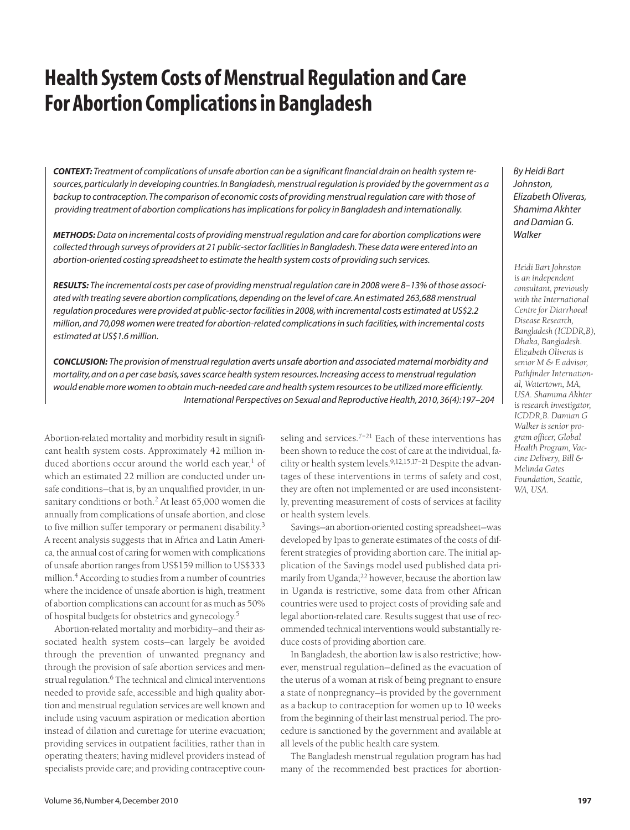# **Health System Costs of Menstrual Regulation and Care For Abortion Complications in Bangladesh**

*CONTEXT: Treatment of complications of unsafe abortion can be a significant financial drain on health system resources, particularly in developing countries. In Bangladesh, menstrual regulation is provided by the government as a backup to contraception. The comparison of economic costs of providing menstrual regulation care with those of providing treatment of abortion complications has implications for policy in Bangladesh and internationally.*

*METHODS:Data on incremental costs of providing menstrual regulation and care for abortion complications were collected through surveys of providers at 21 public-sector facilities in Bangladesh. These data were entered into an abortion-oriented costing spreadsheet to estimate the health system costs of providing such services.*

*RESULTS: The incremental costs per case of providing menstrual regulation care in 2008 were 8–13% of those associated with treating severe abortion complications, depending on the level of care. An estimated 263,688 menstrual regulation procedures were provided at public-sector facilities in 2008, with incremental costs estimated at US\$2.2 million, and 70,098 women were treated for abortion-related complications in such facilities, with incremental costs estimated at US\$1.6 million.*

*CONCLUSION: The provision of menstrual regulation averts unsafe abortion and associated maternal morbidity and mortality, and on a per case basis, saves scarce health system resources. Increasing access to menstrual regulation would enable more women to obtain much-needed care and health system resources to be utilized more efficiently. International Perspectives on Sexual and Reproductive Health, 2010, 36(4):197–204*

Abortion-related mortality and morbidity result in significant health system costs. Approximately 42 million induced abortions occur around the world each year, $<sup>1</sup>$  of</sup> which an estimated 22 million are conducted under unsafe conditions—that is, by an unqualified provider, in unsanitary conditions or both.<sup>2</sup> At least 65,000 women die annually from complications of unsafe abortion, and close to five million suffer temporary or permanent disability.<sup>3</sup> A recent analysis suggests that in Africa and Latin America, the annual cost of caring for women with complications of unsafe abortion ranges from US\$159 million to US\$333 million.<sup>4</sup> According to studies from a number of countries where the incidence of unsafe abortion is high, treatment of abortion complications can account for as much as 50% of hospital budgets for obstetrics and gynecology.5

Abortion-related mortality and morbidity—and their associated health system costs—can largely be avoided through the prevention of unwanted pregnancy and through the provision of safe abortion services and menstrual regulation.<sup>6</sup> The technical and clinical interventions needed to provide safe, accessible and high quality abortion and menstrual regulation services are well known and include using vacuum aspiration or medication abortion instead of dilation and curettage for uterine evacuation; providing services in outpatient facilities, rather than in operating theaters; having midlevel providers instead of specialists provide care; and providing contraceptive counseling and services.<sup>7-21</sup> Each of these interventions has been shown to reduce the cost of care at the individual, facility or health system levels.  $9,12,15,17-21$  Despite the advantages of these interventions in terms of safety and cost, they are often not implemented or are used inconsistently, preventing measurement of costs of services at facility or health system levels.

Savings—an abortion-oriented costing spreadsheet—was developed by Ipas to generate estimates of the costs of different strategies of providing abortion care. The initial application of the Savings model used published data primarily from Uganda; $^{22}$  however, because the abortion law in Uganda is restrictive, some data from other African countries were used to project costs of providing safe and legal abortion-related care. Results suggest that use of recommended technical interventions would substantially reduce costs of providing abortion care.

In Bangladesh, the abortion law is also restrictive; however, menstrual regulation—defined as the evacuation of the uterus of a woman at risk of being pregnant to ensure a state of nonpregnancy—is provided by the government as a backup to contraception for women up to 10 weeks from the beginning of their last menstrual period. The procedure is sanctioned by the government and available at all levels of the public health care system.

The Bangladesh menstrual regulation program has had many of the recommended best practices for abortion*By Heidi Bart Johnston, Elizabeth Oliveras, Shamima Akhter and Damian G. Walker*

*Heidi Bart Johnston is an independent consultant, previously with the International Centre for Diarrhoeal Disease Research, Bangladesh (ICDDR,B), Dhaka, Bangladesh. Elizabeth Oliveras is senior M & E advisor, Pathfinder International, Watertown, MA, USA. Shamima Akhter is research investigator, ICDDR,B. Damian G Walker is senior program officer, Global Health Program, Vaccine Delivery, Bill & Melinda Gates Foundation, Seattle, WA, USA.*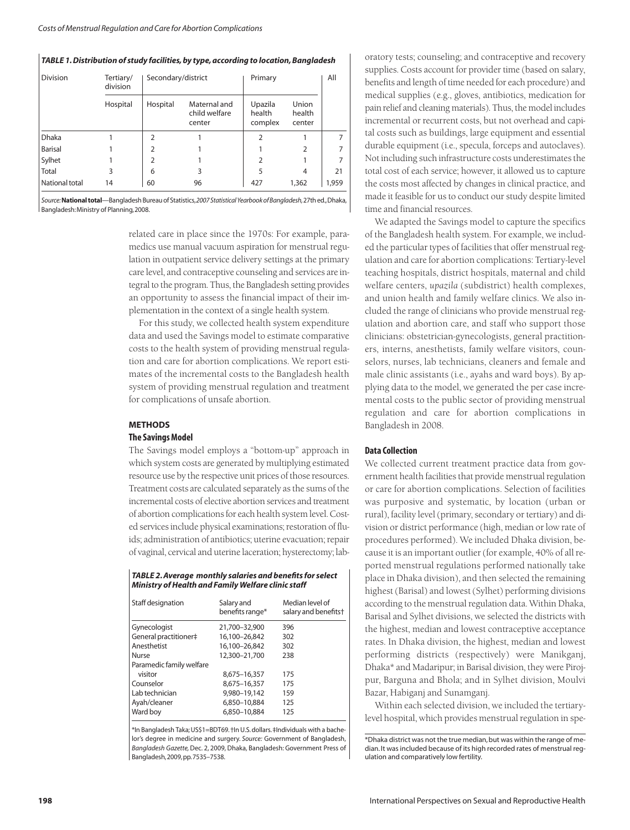## *TABLE 1. Distribution of study facilities, by type, according to location, Bangladesh*

| <b>Division</b> | Tertiary/<br>division | Secondary/district |                                         | Primary                      | All                       |       |
|-----------------|-----------------------|--------------------|-----------------------------------------|------------------------------|---------------------------|-------|
|                 | Hospital              | Hospital           | Maternal and<br>child welfare<br>center | Upazila<br>health<br>complex | Union<br>health<br>center |       |
| <b>Dhaka</b>    |                       | C                  |                                         | 2                            |                           |       |
| <b>Barisal</b>  |                       | 2                  |                                         |                              | 2                         |       |
| Sylhet          |                       | $\overline{2}$     |                                         | 2                            |                           |       |
| Total           | 3                     | 6                  | 3                                       | 5                            | 4                         | 21    |
| National total  | 14                    | 60                 | 96                                      | 427                          | 1,362                     | 1,959 |

*Source:***National total**—Bangladesh Bureau of Statistics,*2007 Statistical Yearbook of Bangladesh,*27th ed.,Dhaka, Bangladesh:Ministry of Planning,2008.

> related care in place since the 1970s: For example, paramedics use manual vacuum aspiration for menstrual regulation in outpatient service delivery settings at the primary care level, and contraceptive counseling and services are integral to the program. Thus, the Bangladesh setting provides an opportunity to assess the financial impact of their implementation in the context of a single health system.

> For this study, we collected health system expenditure data and used the Savings model to estimate comparative costs to the health system of providing menstrual regulation and care for abortion complications. We report estimates of the incremental costs to the Bangladesh health system of providing menstrual regulation and treatment for complications of unsafe abortion.

# **METHODS**

## **The Savings Model**

The Savings model employs a "bottom-up" approach in which system costs are generated by multiplying estimated resource use by the respective unit prices of those resources. Treatment costs are calculated separately as the sums of the incremental costs of elective abortion services and treatment of abortion complications for each health system level. Costed services include physical examinations; restoration of fluids; administration of antibiotics; uterine evacuation; repair of vaginal, cervical and uterine laceration; hysterectomy; lab-

| TABLE 2. Average monthly salaries and benefits for select |  |  |  |
|-----------------------------------------------------------|--|--|--|
| Ministry of Health and Family Welfare clinic staff        |  |  |  |

| Staff designation        | Salary and<br>benefits range* | Median level of<br>salary and benefits <sup>+</sup> |
|--------------------------|-------------------------------|-----------------------------------------------------|
| Gynecologist             | 21,700-32,900                 | 396                                                 |
| General practitioner#    | 16,100-26,842                 | 302                                                 |
| Anesthetist              | 16,100-26,842                 | 302                                                 |
| Nurse                    | 12,300-21,700                 | 238                                                 |
| Paramedic family welfare |                               |                                                     |
| visitor                  | 8.675-16.357                  | 175                                                 |
| Counselor                | 8,675-16,357                  | 175                                                 |
| Lab technician           | 9,980-19,142                  | 159                                                 |
| Ayah/cleaner             | 6.850-10.884                  | 125                                                 |
| Ward boy                 | 6.850-10.884                  | 125                                                 |

\*In Bangladesh Taka; US\$1=BDT69.†In U.S.dollars.‡Individuals with a bachelor's degree in medicine and surgery. *Source:* Government of Bangladesh, *Bangladesh Gazette,*Dec. 2, 2009, Dhaka, Bangladesh: Government Press of Bangladesh,2009,pp.7535–7538.

oratory tests; counseling; and contraceptive and recovery supplies. Costs account for provider time (based on salary, benefits and length of time needed for each procedure) and medical supplies (e.g., gloves, antibiotics, medication for pain relief and cleaning materials). Thus, the model includes incremental or recurrent costs, but not overhead and capital costs such as buildings, large equipment and essential durable equipment (i.e., specula, forceps and autoclaves). Not including such infrastructure costs underestimates the total cost of each service; however, it allowed us to capture the costs most affected by changes in clinical practice, and made it feasible for us to conduct our study despite limited time and financial resources.

We adapted the Savings model to capture the specifics of the Bangladesh health system. For example, we included the particular types of facilities that offer menstrual regulation and care for abortion complications: Tertiary-level teaching hospitals, district hospitals, maternal and child welfare centers, *upazila* (subdistrict) health complexes, and union health and family welfare clinics. We also included the range of clinicians who provide menstrual regulation and abortion care, and staff who support those clinicians: obstetrician-gynecologists, general practitioners, interns, anesthetists, family welfare visitors, counselors, nurses, lab technicians, cleaners and female and male clinic assistants (i.e., ayahs and ward boys). By applying data to the model, we generated the per case incremental costs to the public sector of providing menstrual regulation and care for abortion complications in Bangladesh in 2008.

# **Data Collection**

We collected current treatment practice data from government health facilities that provide menstrual regulation or care for abortion complications. Selection of facilities was purposive and systematic, by location (urban or rural), facility level (primary, secondary or tertiary) and division or district performance (high, median or low rate of procedures performed). We included Dhaka division, because it is an important outlier (for example, 40% of all reported menstrual regulations performed nationally take place in Dhaka division), and then selected the remaining highest (Barisal) and lowest (Sylhet) performing divisions according to the menstrual regulation data. Within Dhaka, Barisal and Sylhet divisions, we selected the districts with the highest, median and lowest contraceptive acceptance rates. In Dhaka division, the highest, median and lowest performing districts (respectively) were Manikganj, Dhaka\* and Madaripur; in Barisal division, they were Pirojpur, Barguna and Bhola; and in Sylhet division, Moulvi Bazar, Habiganj and Sunamganj.

Within each selected division, we included the tertiarylevel hospital, which provides menstrual regulation in spe-

<sup>\*</sup>Dhaka district was not the true median, but was within the range of median. It was included because of its high recorded rates of menstrual regulation and comparatively low fertility.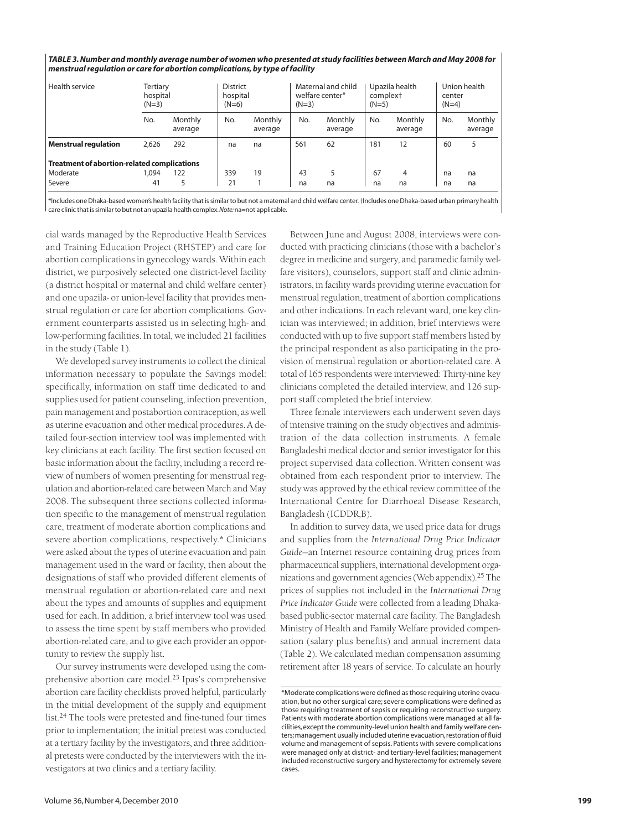| menstrual requlation or care for abortion complications, by type of facility |                                 |                    |         |                             |     |                                                  |     |                                                   |     |                                   |  |
|------------------------------------------------------------------------------|---------------------------------|--------------------|---------|-----------------------------|-----|--------------------------------------------------|-----|---------------------------------------------------|-----|-----------------------------------|--|
| Health service                                                               | Tertiary<br>hospital<br>$(N=3)$ |                    | $(N=6)$ | <b>District</b><br>hospital |     | Maternal and child<br>welfare center*<br>$(N=3)$ |     | Upazila health<br>complex <sup>+</sup><br>$(N=5)$ |     | Union health<br>center<br>$(N=4)$ |  |
|                                                                              | No.                             | Monthly<br>average | No.     | Monthly<br>average          | No. | Monthly<br>average                               | No. | Monthly<br>average                                | No. | Monthly<br>average                |  |
| <b>Menstrual regulation</b>                                                  | 2.626                           | 292                | na      | na                          | 561 | 62                                               | 181 | 12                                                | 60  | 5                                 |  |
| <b>Treatment of abortion-related complications</b>                           |                                 |                    |         |                             |     |                                                  |     |                                                   |     |                                   |  |
| Moderate                                                                     | 1.094                           | 122                | 339     | 19                          | 43  | 5                                                | 67  | 4                                                 | na  | na                                |  |
| Severe                                                                       | 41                              | 5                  | 21      |                             | na  | na                                               | na  | na                                                | na  | na                                |  |

*TABLE 3. Number and monthly average number of women who presented at study facilities between March and May 2008 for*

\*Includes one Dhaka-based women's health facility that is similar to but not a maternal and child welfare center.†Includes one Dhaka-based urban primary health

care clinic that is similar to but not an upazila health complex.*Note:*na=not applicable.

cial wards managed by the Reproductive Health Services and Training Education Project (RHSTEP) and care for abortion complications in gynecology wards. Within each district, we purposively selected one district-level facility (a district hospital or maternal and child welfare center) and one upazila- or union-level facility that provides menstrual regulation or care for abortion complications. Government counterparts assisted us in selecting high- and low-performing facilities. In total, we included 21 facilities in the study (Table 1).

We developed survey instruments to collect the clinical information necessary to populate the Savings model: specifically, information on staff time dedicated to and supplies used for patient counseling, infection prevention, pain management and postabortion contraception, as well as uterine evacuation and other medical procedures. A detailed four-section interview tool was implemented with key clinicians at each facility. The first section focused on basic information about the facility, including a record review of numbers of women presenting for menstrual regulation and abortion-related care between March and May 2008. The subsequent three sections collected information specific to the management of menstrual regulation care, treatment of moderate abortion complications and severe abortion complications, respectively.\* Clinicians were asked about the types of uterine evacuation and pain management used in the ward or facility, then about the designations of staff who provided different elements of menstrual regulation or abortion-related care and next about the types and amounts of supplies and equipment used for each. In addition, a brief interview tool was used to assess the time spent by staff members who provided abortion-related care, and to give each provider an opportunity to review the supply list.

Our survey instruments were developed using the comprehensive abortion care model.23 Ipas's comprehensive abortion care facility checklists proved helpful, particularly in the initial development of the supply and equipment list.24 The tools were pretested and fine-tuned four times prior to implementation; the initial pretest was conducted at a tertiary facility by the investigators, and three additional pretests were conducted by the interviewers with the investigators at two clinics and a tertiary facility.

Between June and August 2008, interviews were conducted with practicing clinicians (those with a bachelor's degree in medicine and surgery, and paramedic family welfare visitors), counselors, support staff and clinic administrators, in facility wards providing uterine evacuation for menstrual regulation, treatment of abortion complications and other indications. In each relevant ward, one key clinician was interviewed; in addition, brief interviews were conducted with up to five support staff members listed by the principal respondent as also participating in the provision of menstrual regulation or abortion-related care. A total of 165 respondents were interviewed: Thirty-nine key clinicians completed the detailed interview, and 126 support staff completed the brief interview.

Three female interviewers each underwent seven days of intensive training on the study objectives and administration of the data collection instruments. A female Bangladeshi medical doctor and senior investigator for this project supervised data collection. Written consent was obtained from each respondent prior to interview. The study was approved by the ethical review committee of the International Centre for Diarrhoeal Disease Research, Bangladesh (ICDDR,B).

In addition to survey data, we used price data for drugs and supplies from the *International Drug Price Indicator Guide*—an Internet resource containing drug prices from pharmaceutical suppliers, international development organizations and government agencies (Web appendix).25 The prices of supplies not included in the *International Drug Price Indicator Guide* were collected from a leading Dhakabased public-sector maternal care facility. The Bangladesh Ministry of Health and Family Welfare provided compensation (salary plus benefits) and annual increment data (Table 2). We calculated median compensation assuming retirement after 18 years of service. To calculate an hourly

<sup>\*</sup>Moderate complications were defined as those requiring uterine evacuation, but no other surgical care; severe complications were defined as those requiring treatment of sepsis or requiring reconstructive surgery. Patients with moderate abortion complications were managed at all facilities, except the community-level union health and family welfare centers;management usually included uterine evacuation,restoration of fluid volume and management of sepsis. Patients with severe complications were managed only at district- and tertiary-level facilities; management included reconstructive surgery and hysterectomy for extremely severe cases.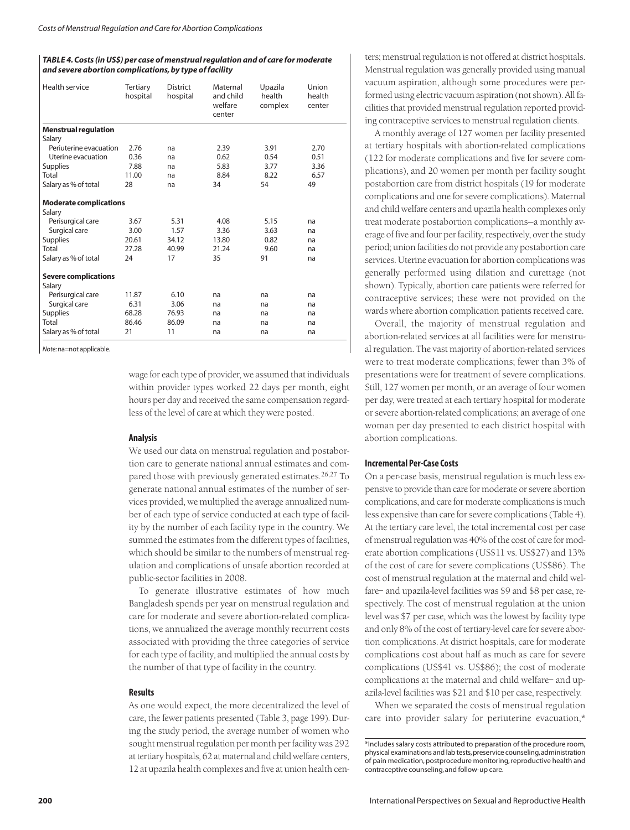## *TABLE 4. Costs (in US\$) per case of menstrual regulation and of care for moderate and severe abortion complications, by type of facility*

| Health service                | <b>Tertiary</b><br>hospital | <b>District</b><br>hospital | Maternal<br>and child<br>welfare<br>center | Upazila<br>health<br>complex | Union<br>health<br>center |
|-------------------------------|-----------------------------|-----------------------------|--------------------------------------------|------------------------------|---------------------------|
| <b>Menstrual regulation</b>   |                             |                             |                                            |                              |                           |
| Salary                        |                             |                             |                                            |                              |                           |
| Periuterine evacuation        | 2.76                        | na                          | 2.39                                       | 3.91                         | 2.70                      |
| Uterine evacuation            | 0.36                        | na                          | 0.62                                       | 0.54                         | 0.51                      |
| <b>Supplies</b>               | 7.88                        | na                          | 5.83                                       | 3.77                         | 3.36                      |
| Total                         | 11.00                       | na                          | 8.84                                       | 8.22                         | 6.57                      |
| Salary as % of total          | 28                          | na                          | 34                                         | 54                           | 49                        |
| <b>Moderate complications</b> |                             |                             |                                            |                              |                           |
| Salary                        |                             |                             |                                            |                              |                           |
| Perisurgical care             | 3.67                        | 5.31                        | 4.08                                       | 5.15                         | na                        |
| Surgical care                 | 3.00                        | 1.57                        | 3.36                                       | 3.63                         | na                        |
| <b>Supplies</b>               | 20.61                       | 34.12                       | 13.80                                      | 0.82                         | na                        |
| Total                         | 27.28                       | 40.99                       | 21.24                                      | 9.60                         | na                        |
| Salary as % of total          | 24                          | 17                          | 35                                         | 91                           | na                        |
| <b>Severe complications</b>   |                             |                             |                                            |                              |                           |
| Salary                        |                             |                             |                                            |                              |                           |
| Perisurgical care             | 11.87                       | 6.10                        | na                                         | na                           | na                        |
| Surgical care                 | 6.31                        | 3.06                        | na                                         | na                           | na                        |
| <b>Supplies</b>               | 68.28                       | 76.93                       | na                                         | na                           | na                        |
| Total                         | 86.46                       | 86.09                       | na                                         | na                           | na                        |
| Salary as % of total          | 21                          | 11                          | na                                         | na                           | na                        |

*Note:*na=not applicable.

wage for each type of provider, we assumed that individuals within provider types worked 22 days per month, eight hours per day and received the same compensation regardless of the level of care at which they were posted.

# **Analysis**

We used our data on menstrual regulation and postabortion care to generate national annual estimates and compared those with previously generated estimates.<sup>26,27</sup> To generate national annual estimates of the number of services provided, we multiplied the average annualized number of each type of service conducted at each type of facility by the number of each facility type in the country. We summed the estimates from the different types of facilities, which should be similar to the numbers of menstrual regulation and complications of unsafe abortion recorded at public-sector facilities in 2008.

To generate illustrative estimates of how much Bangladesh spends per year on menstrual regulation and care for moderate and severe abortion-related complications, we annualized the average monthly recurrent costs associated with providing the three categories of service for each type of facility, and multiplied the annual costs by the number of that type of facility in the country.

# **Results**

As one would expect, the more decentralized the level of care, the fewer patients presented (Table 3, page 199). During the study period, the average number of women who sought menstrual regulation per month per facility was 292 at tertiary hospitals, 62 at maternal and child welfare centers, 12 at upazila health complexes and five at union health centers; menstrual regulation is not offered at district hospitals. Menstrual regulation was generally provided using manual vacuum aspiration, although some procedures were performed using electric vacuum aspiration (not shown). All facilities that provided menstrual regulation reported providing contraceptive services to menstrual regulation clients.

A monthly average of 127 women per facility presented at tertiary hospitals with abortion-related complications (122 for moderate complications and five for severe complications), and 20 women per month per facility sought postabortion care from district hospitals (19 for moderate complications and one for severe complications). Maternal and child welfare centers and upazila health complexes only treat moderate postabortion complications—a monthly average of five and four per facility, respectively, over the study period; union facilities do not provide any postabortion care services. Uterine evacuation for abortion complications was generally performed using dilation and curettage (not shown). Typically, abortion care patients were referred for contraceptive services; these were not provided on the wards where abortion complication patients received care.

Overall, the majority of menstrual regulation and abortion-related services at all facilities were for menstrual regulation. The vast majority of abortion-related services were to treat moderate complications; fewer than 3% of presentations were for treatment of severe complications. Still, 127 women per month, or an average of four women per day, were treated at each tertiary hospital for moderate or severe abortion-related complications; an average of one woman per day presented to each district hospital with abortion complications.

# **Incremental Per-Case Costs**

On a per-case basis, menstrual regulation is much less expensive to provide than care for moderate or severe abortion complications, and care for moderate complications is much less expensive than care for severe complications (Table 4). At the tertiary care level, the total incremental cost per case of menstrual regulation was 40% of the cost of care for moderate abortion complications (US\$11 vs. US\$27) and 13% of the cost of care for severe complications (US\$86). The cost of menstrual regulation at the maternal and child welfare– and upazila-level facilities was \$9 and \$8 per case, respectively. The cost of menstrual regulation at the union level was \$7 per case, which was the lowest by facility type and only 8% of the cost of tertiary-level care for severe abortion complications. At district hospitals, care for moderate complications cost about half as much as care for severe complications (US\$41 vs. US\$86); the cost of moderate complications at the maternal and child welfare– and upazila-level facilities was \$21 and \$10 per case, respectively.

When we separated the costs of menstrual regulation care into provider salary for periuterine evacuation,\*

<sup>\*</sup>Includes salary costs attributed to preparation of the procedure room, physical examinations and lab tests, preservice counseling, administration of pain medication, postprocedure monitoring, reproductive health and contraceptive counseling, and follow-up care.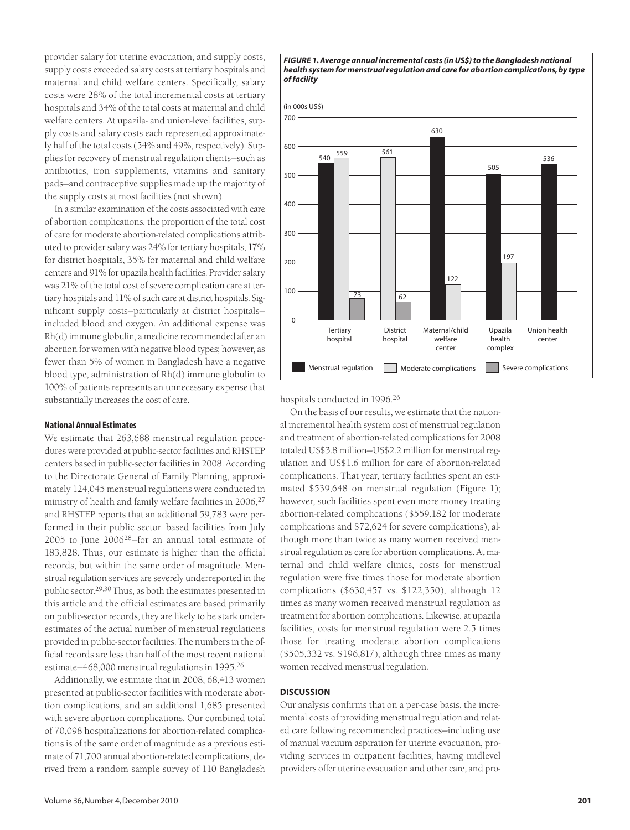provider salary for uterine evacuation, and supply costs, supply costs exceeded salary costs at tertiary hospitals and maternal and child welfare centers. Specifically, salary costs were 28% of the total incremental costs at tertiary hospitals and 34% of the total costs at maternal and child welfare centers. At upazila- and union-level facilities, supply costs and salary costs each represented approximately half of the total costs (54% and 49%, respectively). Supplies for recovery of menstrual regulation clients—such as antibiotics, iron supplements, vitamins and sanitary pads—and contraceptive supplies made up the majority of the supply costs at most facilities (not shown).

In a similar examination of the costs associated with care of abortion complications, the proportion of the total cost of care for moderate abortion-related complications attributed to provider salary was 24% for tertiary hospitals, 17% for district hospitals, 35% for maternal and child welfare centers and 91% for upazila health facilities. Provider salary was 21% of the total cost of severe complication care at tertiary hospitals and 11% of such care at district hospitals. Significant supply costs—particularly at district hospitals included blood and oxygen. An additional expense was Rh(d) immune globulin, a medicine recommended after an abortion for women with negative blood types; however, as fewer than 5% of women in Bangladesh have a negative blood type, administration of Rh(d) immune globulin to 100% of patients represents an unnecessary expense that substantially increases the cost of care.

# **National Annual Estimates**

We estimate that 263,688 menstrual regulation procedures were provided at public-sector facilities and RHSTEP centers based in public-sector facilities in 2008. According to the Directorate General of Family Planning, approximately 124,045 menstrual regulations were conducted in ministry of health and family welfare facilities in 2006,<sup>27</sup> and RHSTEP reports that an additional 59,783 were performed in their public sector–based facilities from July 2005 to June 200628—for an annual total estimate of 183,828. Thus, our estimate is higher than the official records, but within the same order of magnitude. Menstrual regulation services are severely underreported in the public sector.29,30 Thus, as both the estimates presented in this article and the official estimates are based primarily on public-sector records, they are likely to be stark underestimates of the actual number of menstrual regulations provided in public-sector facilities. The numbers in the official records are less than half of the most recent national estimate—468,000 menstrual regulations in 1995.26

Additionally, we estimate that in 2008, 68,413 women presented at public-sector facilities with moderate abortion complications, and an additional 1,685 presented with severe abortion complications. Our combined total of 70,098 hospitalizations for abortion-related complications is of the same order of magnitude as a previous estimate of 71,700 annual abortion-related complications, derived from a random sample survey of 110 Bangladesh

#### *FIGURE 1. Average annual incremental costs (in US\$) to the Bangladesh national health system for menstrual regulation and care for abortion complications, by type of facility*



hospitals conducted in 1996.26

On the basis of our results, we estimate that the national incremental health system cost of menstrual regulation and treatment of abortion-related complications for 2008 totaled US\$3.8 million—US\$2.2 million for menstrual regulation and US\$1.6 million for care of abortion-related complications. That year, tertiary facilities spent an estimated \$539,648 on menstrual regulation (Figure 1); however, such facilities spent even more money treating abortion-related complications (\$559,182 for moderate complications and \$72,624 for severe complications), although more than twice as many women received menstrual regulation as care for abortion complications. At maternal and child welfare clinics, costs for menstrual regulation were five times those for moderate abortion complications (\$630,457 vs. \$122,350), although 12 times as many women received menstrual regulation as treatment for abortion complications. Likewise, at upazila facilities, costs for menstrual regulation were 2.5 times those for treating moderate abortion complications (\$505,332 vs. \$196,817), although three times as many women received menstrual regulation.

## **DISCUSSION**

Our analysis confirms that on a per-case basis, the incremental costs of providing menstrual regulation and related care following recommended practices—including use of manual vacuum aspiration for uterine evacuation, providing services in outpatient facilities, having midlevel providers offer uterine evacuation and other care, and pro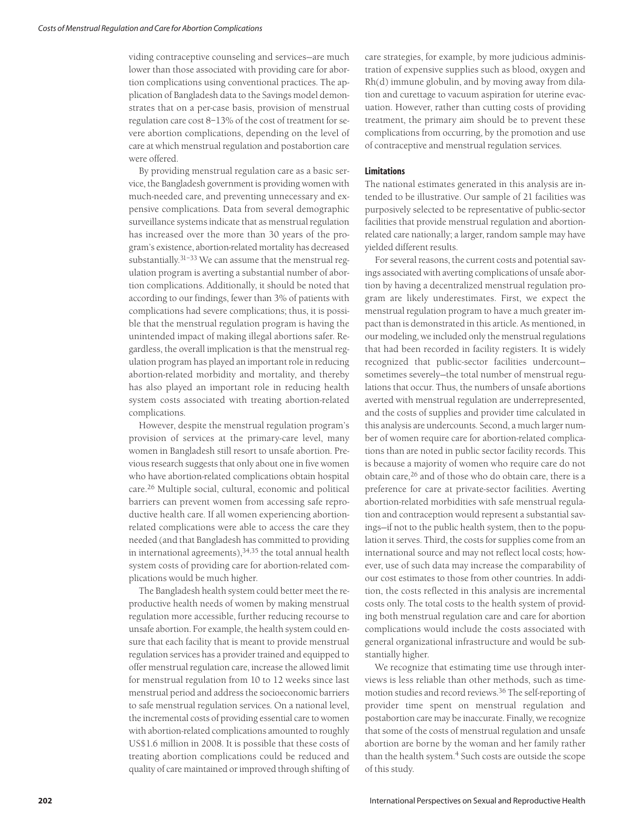viding contraceptive counseling and services—are much lower than those associated with providing care for abortion complications using conventional practices. The application of Bangladesh data to the Savings model demonstrates that on a per-case basis, provision of menstrual regulation care cost 8–13% of the cost of treatment for severe abortion complications, depending on the level of care at which menstrual regulation and postabortion care were offered.

By providing menstrual regulation care as a basic service, the Bangladesh government is providing women with much-needed care, and preventing unnecessary and expensive complications. Data from several demographic surveillance systems indicate that as menstrual regulation has increased over the more than 30 years of the program's existence, abortion-related mortality has decreased substantially.31–33 We can assume that the menstrual regulation program is averting a substantial number of abortion complications. Additionally, it should be noted that according to our findings, fewer than 3% of patients with complications had severe complications; thus, it is possible that the menstrual regulation program is having the unintended impact of making illegal abortions safer. Regardless, the overall implication is that the menstrual regulation program has played an important role in reducing abortion-related morbidity and mortality, and thereby has also played an important role in reducing health system costs associated with treating abortion-related complications.

However, despite the menstrual regulation program's provision of services at the primary-care level, many women in Bangladesh still resort to unsafe abortion. Previous research suggests that only about one in five women who have abortion-related complications obtain hospital care.<sup>26</sup> Multiple social, cultural, economic and political barriers can prevent women from accessing safe reproductive health care. If all women experiencing abortionrelated complications were able to access the care they needed (and that Bangladesh has committed to providing in international agreements), $34,35$  the total annual health system costs of providing care for abortion-related complications would be much higher.

The Bangladesh health system could better meet the reproductive health needs of women by making menstrual regulation more accessible, further reducing recourse to unsafe abortion. For example, the health system could ensure that each facility that is meant to provide menstrual regulation services has a provider trained and equipped to offer menstrual regulation care, increase the allowed limit for menstrual regulation from 10 to 12 weeks since last menstrual period and address the socioeconomic barriers to safe menstrual regulation services. On a national level, the incremental costs of providing essential care to women with abortion-related complications amounted to roughly US\$1.6 million in 2008. It is possible that these costs of treating abortion complications could be reduced and quality of care maintained or improved through shifting of care strategies, for example, by more judicious administration of expensive supplies such as blood, oxygen and Rh(d) immune globulin, and by moving away from dilation and curettage to vacuum aspiration for uterine evacuation. However, rather than cutting costs of providing treatment, the primary aim should be to prevent these complications from occurring, by the promotion and use of contraceptive and menstrual regulation services.

# **Limitations**

The national estimates generated in this analysis are intended to be illustrative. Our sample of 21 facilities was purposively selected to be representative of public-sector facilities that provide menstrual regulation and abortionrelated care nationally; a larger, random sample may have yielded different results.

For several reasons, the current costs and potential savings associated with averting complications of unsafe abortion by having a decentralized menstrual regulation program are likely underestimates. First, we expect the menstrual regulation program to have a much greater impact than is demonstrated in this article. As mentioned, in our modeling, we included only the menstrual regulations that had been recorded in facility registers. It is widely recognized that public-sector facilities undercount sometimes severely—the total number of menstrual regulations that occur. Thus, the numbers of unsafe abortions averted with menstrual regulation are underrepresented, and the costs of supplies and provider time calculated in this analysis are undercounts. Second, a much larger number of women require care for abortion-related complications than are noted in public sector facility records. This is because a majority of women who require care do not obtain care,<sup>26</sup> and of those who do obtain care, there is a preference for care at private-sector facilities. Averting abortion-related morbidities with safe menstrual regulation and contraception would represent a substantial savings—if not to the public health system, then to the population it serves. Third, the costs for supplies come from an international source and may not reflect local costs; however, use of such data may increase the comparability of our cost estimates to those from other countries. In addition, the costs reflected in this analysis are incremental costs only. The total costs to the health system of providing both menstrual regulation care and care for abortion complications would include the costs associated with general organizational infrastructure and would be substantially higher.

We recognize that estimating time use through interviews is less reliable than other methods, such as timemotion studies and record reviews.36 The self-reporting of provider time spent on menstrual regulation and postabortion care may be inaccurate. Finally, we recognize that some of the costs of menstrual regulation and unsafe abortion are borne by the woman and her family rather than the health system.<sup>4</sup> Such costs are outside the scope of this study.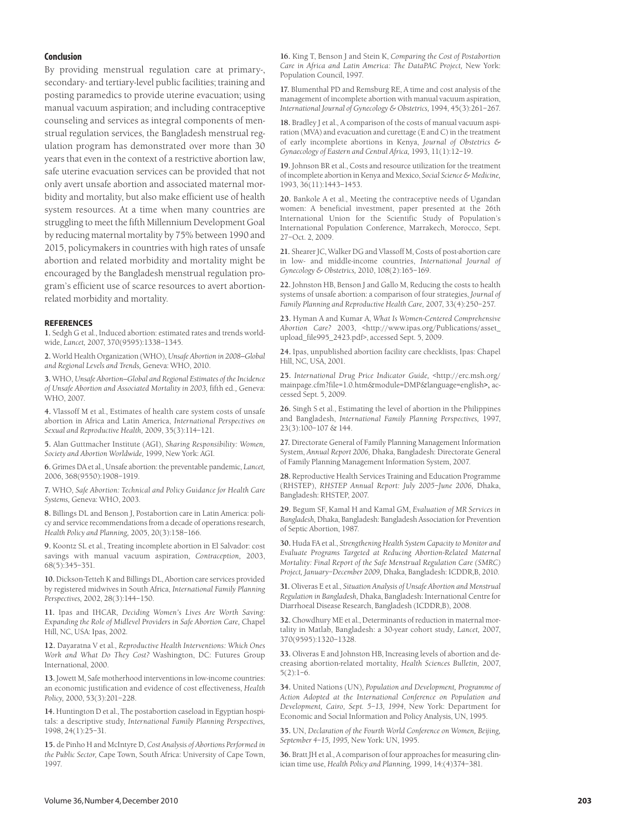# **Conclusion**

By providing menstrual regulation care at primary-, secondary- and tertiary-level public facilities; training and posting paramedics to provide uterine evacuation; using manual vacuum aspiration; and including contraceptive counseling and services as integral components of menstrual regulation services, the Bangladesh menstrual regulation program has demonstrated over more than 30 years that even in the context of a restrictive abortion law, safe uterine evacuation services can be provided that not only avert unsafe abortion and associated maternal morbidity and mortality, but also make efficient use of health system resources. At a time when many countries are struggling to meet the fifth Millennium Development Goal by reducing maternal mortality by 75% between 1990 and 2015, policymakers in countries with high rates of unsafe abortion and related morbidity and mortality might be encouraged by the Bangladesh menstrual regulation program's efficient use of scarce resources to avert abortionrelated morbidity and mortality.

#### **REFERENCES**

**1.** Sedgh G et al., Induced abortion: estimated rates and trends worldwide, *Lancet,* 2007, 370(9595):1338–1345.

**2.** World Health Organization (WHO), *Unsafe Abortion in 2008—Global and Regional Levels and Trends,* Geneva: WHO, 2010.

**3.** WHO, *Unsafe Abortion—Global and Regional Estimates of the Incidence of Unsafe Abortion and Associated Mortality in 2003,* fifth ed*.,* Geneva: WHO, 2007.

**4.** Vlassoff M et al., Estimates of health care system costs of unsafe abortion in Africa and Latin America, *International Perspectives on Sexual and Reproductive Health,* 2009, 35(3):114–121.

**5.** Alan Guttmacher Institute (AGI), *Sharing Responsibility: Women, Society and Abortion Worldwide,* 1999, New York: AGI.

**6.** Grimes DA et al., Unsafe abortion: the preventable pandemic, *Lancet,* 2006, 368(9550):1908–1919.

**7.** WHO, *Safe Abortion: Technical and Policy Guidance for Health Care Systems,* Geneva: WHO, 2003.

**8.** Billings DL and Benson J, Postabortion care in Latin America: policy and service recommendations from a decade of operations research, *Health Policy and Planning,* 2005, 20(3):158–166.

**9.** Koontz SL et al., Treating incomplete abortion in El Salvador: cost savings with manual vacuum aspiration, *Contraception,* 2003, 68(5):345–351.

**10.** Dickson-Tetteh K and Billings DL, Abortion care services provided by registered midwives in South Africa, *International Family Planning Perspectives,* 2002, 28(3):144–150.

**11.** Ipas and IHCAR, *Deciding Women's Lives Are Worth Saving: Expanding the Role of Midlevel Providers in Safe Abortion Care,* Chapel Hill, NC, USA: Ipas, 2002.

**12.** Dayaratna V et al., *Reproductive Health Interventions: Which Ones Work and What Do They Cost?* Washington, DC: Futures Group International, 2000.

**13.** Jowett M, Safe motherhood interventions in low-income countries: an economic justification and evidence of cost effectiveness, *Health Policy,* 2000, 53(3):201–228.

**14.** Huntington D et al., The postabortion caseload in Egyptian hospitals: a descriptive study, *International Family Planning Perspectives,* 1998, 24(1):25–31.

**15.** de Pinho H and McIntyre D, *Cost Analysis of Abortions Performed in the Public Sector,* Cape Town, South Africa: University of Cape Town, 1997.

**16.** King T, Benson J and Stein K, *Comparing the Cost of Postabortion Care in Africa and Latin America: The DataPAC Project,* New York: Population Council, 1997.

**17.** Blumenthal PD and Remsburg RE, A time and cost analysis of the management of incomplete abortion with manual vacuum aspiration, *International Journal of Gynecology & Obstetrics,* 1994, 45(3):261–267.

**18.** Bradley J et al., A comparison of the costs of manual vacuum aspiration (MVA) and evacuation and curettage (E and C) in the treatment of early incomplete abortions in Kenya, *Journal of Obstetrics & Gynaecology of Eastern and Central Africa,* 1993, 11(1):12–19.

**19.** Johnson BR et al., Costs and resource utilization for the treatment of incomplete abortion in Kenya and Mexico, *Social Science & Medicine,* 1993, 36(11):1443–1453.

**20.** Bankole A et al., Meeting the contraceptive needs of Ugandan women: A beneficial investment, paper presented at the 26th International Union for the Scientific Study of Population's International Population Conference, Marrakech, Morocco, Sept. 27–Oct. 2, 2009.

**21.** Shearer JC, Walker DG and Vlassoff M, Costs of post-abortion care in low- and middle-income countries, *International Journal of Gynecology & Obstetrics,* 2010, 108(2):165–169.

**22.** Johnston HB, Benson J and Gallo M, Reducing the costs to health systems of unsafe abortion: a comparison of four strategies, *Journal of Family Planning and Reproductive Health Care,* 2007, 33(4):250–257.

**23.** Hyman A and Kumar A, *What Is Women-Centered Comprehensive Abortion Care?* 2003, <http://www.ipas.org/Publications/asset\_ upload\_file995\_2423.pdf>, accessed Sept. 5, 2009.

**24.** Ipas, unpublished abortion facility care checklists, Ipas: Chapel Hill, NC, USA, 2001.

**25.** *International Drug Price Indicator Guide, <*http://erc.msh.org/ mainpage.cfm?file=1.0.htm&module=DMP&language=english**>,** accessed Sept. 5, 2009.

**26.** Singh S et al., Estimating the level of abortion in the Philippines and Bangladesh, *International Family Planning Perspectives,* 1997, 23(3):100–107 & 144.

**27.** Directorate General of Family Planning Management Information System, *Annual Report 2006,* Dhaka, Bangladesh: Directorate General of Family Planning Management Information System, 2007.

**28.** Reproductive Health Services Training and Education Programme (RHSTEP), *RHSTEP Annual Report: July 2005–June 2006,* Dhaka, Bangladesh: RHSTEP, 2007.

**29.** Begum SF, Kamal H and Kamal GM, *Evaluation of MR Services in Bangladesh,* Dhaka, Bangladesh: Bangladesh Association for Prevention of Septic Abortion, 1987.

**30.** Huda FA et al., *Strengthening Health System Capacity to Monitor and Evaluate Programs Targeted at Reducing Abortion-Related Maternal Mortality: Final Report of the Safe Menstrual Regulation Care (SMRC) Project, January–December 2009,* Dhaka, Bangladesh: ICDDR,B, 2010.

**31.** Oliveras E et al., *Situation Analysis of Unsafe Abortion and Menstrual Regulation in Bangladesh,* Dhaka, Bangladesh: International Centre for Diarrhoeal Disease Research, Bangladesh (ICDDR,B), 2008.

**32.** Chowdhury ME et al., Determinants of reduction in maternal mortality in Matlab, Bangladesh: a 30-year cohort study, *Lancet,* 2007, 370(9595):1320–1328.

**33.** Oliveras E and Johnston HB, Increasing levels of abortion and decreasing abortion-related mortality, *Health Sciences Bulletin,* 2007, 5(2):1–6.

**34.** United Nations (UN), *Population and Development, Programme of Action Adopted at the International Conference on Population and Development, Cairo, Sept. 5–13, 1994*, New York: Department for Economic and Social Information and Policy Analysis, UN, 1995.

**35.** UN, *Declaration of the Fourth World Conference on Women, Beijing, September 4–15, 1995,* New York: UN, 1995.

**36.** Bratt JH et al., A comparison of four approaches for measuring clinician time use, *Health Policy and Planning,* 1999, 14:(4)374–381.